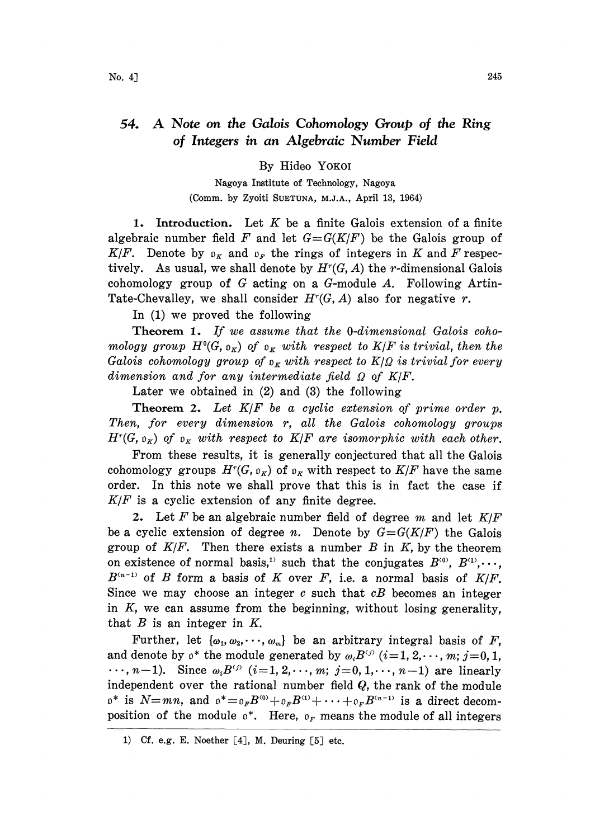## 54. A Note on the Galois Cohomology Group of the Ring of Integers in an Algebraic Number Field

By Hideo YOKO

Nagoya Institute of Technology, Nagoya (Comm. by Zyoiti SUETUNA, M.J.A., April 13, 1964)

1. Introduction. Let  $K$  be a finite Galois extension of a finite algebraic number field F and let  $G = G(K/F)$  be the Galois group of  $K/F$ . Denote by  $\mathfrak{d}_K$  and  $\mathfrak{d}_F$  the rings of integers in K and F respectively. As usual, we shall denote by  $H^r(G, A)$  the r-dimensional Galois cohomology group of G acting on a G-module  $A$ . Following Artin-Tate-Chevalley, we shall consider  $H<sup>r</sup>(G, A)$  also for negative r.

In (1) we proved the following

Theorem 1. If we assume that the 0-dimensional Galois cohomology group  $H^0(G, \mathfrak{o}_K)$  of  $\mathfrak{o}_K$  with respect to  $K/F$  is trivial, then the Galois cohomology group of  $\rho_K$  with respect to  $K/Q$  is trivial for every dimension and for any intermediate field  $\Omega$  of K/F.

Later we obtained in (2) and (3) the following

Theorem 2. Let  $K/F$  be a cyclic extension of prime order  $p$ . Then, for every dimension r, all the Galois cohomology groups  $H^r(G, \mathfrak{o}_{K})$  of  $\mathfrak{o}_{K}$  with respect to  $K/F$  are isomorphic with each other.

From these results, it is generally conjectured that all the Galois cohomology groups  $H^r(G, \mathfrak{o}_K)$  of  $\mathfrak{o}_K$  with respect to  $K/F$  have the same order. In this note we shall prove that this is in fact the case if  $K/F$  is a cyclic extension of any finite degree.

2. Let F be an algebraic number field of degree m and let  $K/F$ be a cyclic extension of degree n. Denote by  $G = G(K/F)$  the Galois group of  $K/F$ . Then there exists a number  $B$  in  $K$ , by the theorem on existence of normal basis,<sup>11</sup> such that the conjugates  $B^{(0)}$ ,  $B^{(1)}$ ,...,  $B^{(n-1)}$  of B form a basis of K over F, i.e. a normal basis of  $K/F$ . Since we may choose an integer c such that  $cB$  becomes an integer in  $K$ , we can assume from the beginning, without losing generality, that  $B$  is an integer in  $K$ .

Further, let  $\{\omega_1, \omega_2, \dots, \omega_m\}$  be an arbitrary integral basis of F, and denote by  $v^*$  the module generated by  $\omega_i B^{(i)}$  ( $i=1, 2, \dots, m; j=0, 1$ , ...  $n-1$ ). Since  $\omega_i B^{(j)}$  (i=1, 2, ..., m; j=0, 1, ..., n-1) are linearly independent over the rational number field  $Q$ , the rank of the module  $\mathfrak{g}^*$  is  $N=mn$ , and  $\mathfrak{g}^*=\mathfrak{g}_F B^{\langle 0\rangle}+\mathfrak{g}_F B^{\langle 1\rangle}+\cdots+\mathfrak{g}_F B^{\langle n-1\rangle}$  is a direct decomposition of the module  $\mathfrak{o}^*$ . Here,  $\mathfrak{o}_F$  means the module of all integers

<sup>1)</sup> Cf. e.g. E. Noether  $[4]$ , M. Deuring  $[5]$  etc.